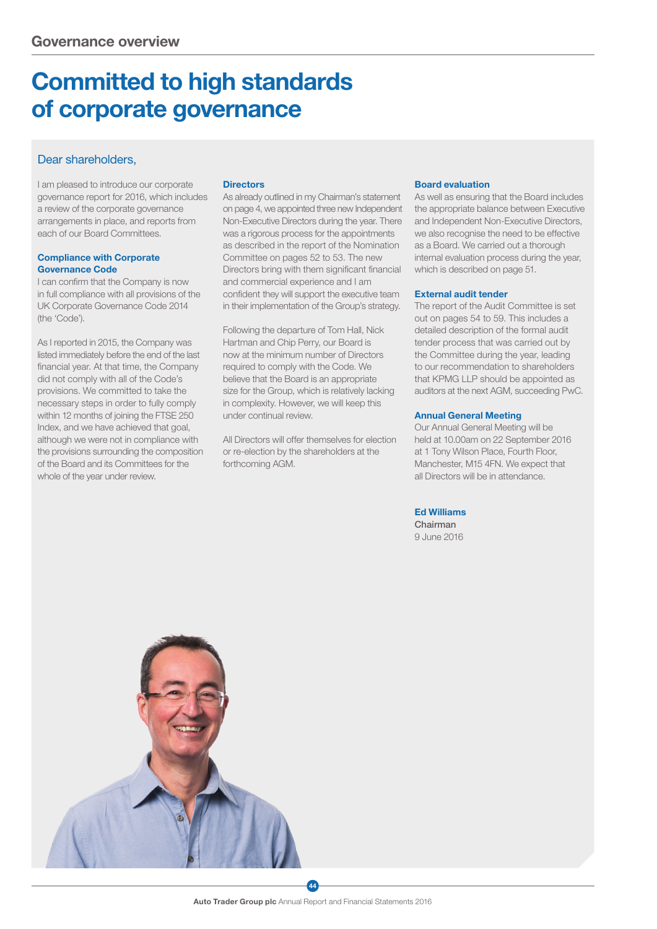# Committed to high standards of corporate governance

# Dear shareholders.

I am pleased to introduce our corporate governance report for 2016, which includes a review of the corporate governance arrangements in place, and reports from each of our Board Committees.

#### Compliance with Corporate Governance Code

I can confirm that the Company is now in full compliance with all provisions of the UK Corporate Governance Code 2014 (the 'Code').

As I reported in 2015, the Company was listed immediately before the end of the last financial year. At that time, the Company did not comply with all of the Code's provisions. We committed to take the necessary steps in order to fully comply within 12 months of joining the FTSE 250 Index, and we have achieved that goal, although we were not in compliance with the provisions surrounding the composition of the Board and its Committees for the whole of the year under review.

### **Directors**

As already outlined in my Chairman's statement on page 4, we appointed three new Independent Non-Executive Directors during the year. There was a rigorous process for the appointments as described in the report of the Nomination Committee on pages 52 to 53. The new Directors bring with them significant financial and commercial experience and I am confident they will support the executive team in their implementation of the Group's strategy.

Following the departure of Tom Hall, Nick Hartman and Chip Perry, our Board is now at the minimum number of Directors required to comply with the Code. We believe that the Board is an appropriate size for the Group, which is relatively lacking in complexity. However, we will keep this under continual review.

All Directors will offer themselves for election or re-election by the shareholders at the forthcoming AGM.

### Board evaluation

As well as ensuring that the Board includes the appropriate balance between Executive and Independent Non-Executive Directors, we also recognise the need to be effective as a Board. We carried out a thorough internal evaluation process during the year, which is described on page 51.

#### External audit tender

The report of the Audit Committee is set out on pages 54 to 59. This includes a detailed description of the formal audit tender process that was carried out by the Committee during the year, leading to our recommendation to shareholders that KPMG LLP should be appointed as auditors at the next AGM, succeeding PwC.

#### Annual General Meeting

Our Annual General Meeting will be held at 10.00am on 22 September 2016 at 1 Tony Wilson Place, Fourth Floor, Manchester, M15 4FN. We expect that all Directors will be in attendance.

Ed Williams Chairman 9 June 2016